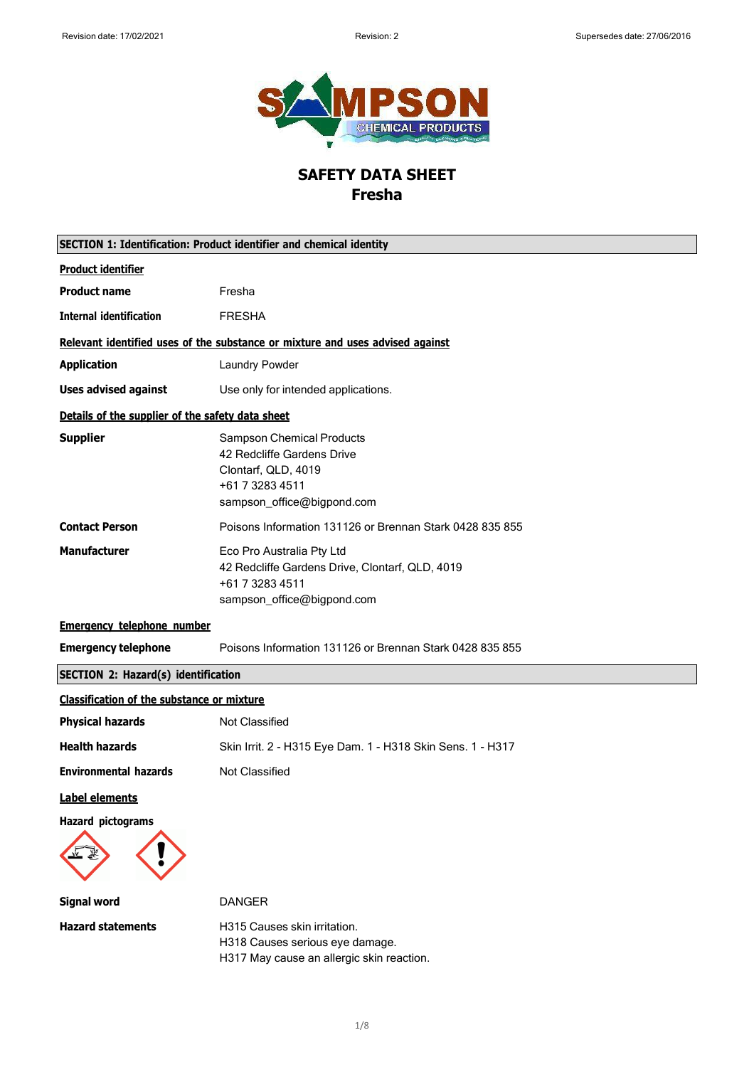

# **SAFETY DATA SHEET Fresha**

|                                                   | <b>SECTION 1: Identification: Product identifier and chemical identity</b>                                                             |
|---------------------------------------------------|----------------------------------------------------------------------------------------------------------------------------------------|
| <b>Product identifier</b>                         |                                                                                                                                        |
| <b>Product name</b>                               | Fresha                                                                                                                                 |
| <b>Internal identification</b>                    | <b>FRESHA</b>                                                                                                                          |
|                                                   | Relevant identified uses of the substance or mixture and uses advised against                                                          |
| <b>Application</b>                                | Laundry Powder                                                                                                                         |
| <b>Uses advised against</b>                       | Use only for intended applications.                                                                                                    |
| Details of the supplier of the safety data sheet  |                                                                                                                                        |
| <b>Supplier</b>                                   | <b>Sampson Chemical Products</b><br>42 Redcliffe Gardens Drive<br>Clontarf, QLD, 4019<br>+61 7 3283 4511<br>sampson_office@bigpond.com |
| <b>Contact Person</b>                             | Poisons Information 131126 or Brennan Stark 0428 835 855                                                                               |
| <b>Manufacturer</b>                               | Eco Pro Australia Pty Ltd<br>42 Redcliffe Gardens Drive, Clontarf, QLD, 4019<br>+61 7 3283 4511<br>sampson_office@bigpond.com          |
| <b>Emergency telephone number</b>                 |                                                                                                                                        |
| <b>Emergency telephone</b>                        | Poisons Information 131126 or Brennan Stark 0428 835 855                                                                               |
| <b>SECTION 2: Hazard(s) identification</b>        |                                                                                                                                        |
| <b>Classification of the substance or mixture</b> |                                                                                                                                        |
| <b>Physical hazards</b>                           | Not Classified                                                                                                                         |
| <b>Health hazards</b>                             | Skin Irrit. 2 - H315 Eye Dam. 1 - H318 Skin Sens. 1 - H317                                                                             |
| <b>Environmental hazards</b>                      | Not Classified                                                                                                                         |
| Label elements                                    |                                                                                                                                        |
| Hazard pictograms                                 |                                                                                                                                        |
| <b>Signal word</b>                                | <b>DANGER</b>                                                                                                                          |
| <b>Hazard statements</b>                          | H315 Causes skin irritation.<br>H318 Causes serious eye damage.<br>H317 May cause an allergic skin reaction.                           |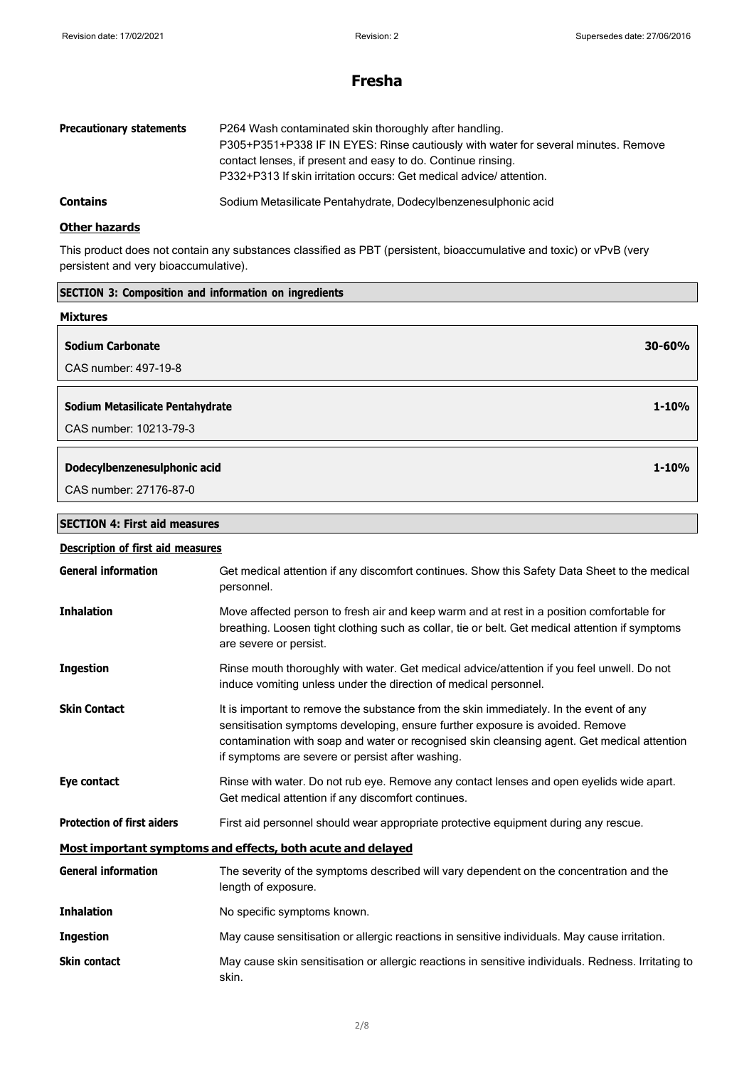## **Fresha**

| <b>Precautionary statements</b> | P264 Wash contaminated skin thoroughly after handling.<br>P305+P351+P338 IF IN EYES: Rinse cautiously with water for several minutes. Remove<br>contact lenses, if present and easy to do. Continue rinsing. |
|---------------------------------|--------------------------------------------------------------------------------------------------------------------------------------------------------------------------------------------------------------|
|                                 | P332+P313 If skin irritation occurs: Get medical advice/attention.                                                                                                                                           |
| <b>Contains</b>                 | Sodium Metasilicate Pentahydrate, Dodecylbenzenesulphonic acid                                                                                                                                               |

### **Other hazards**

This product does not contain any substances classified as PBT (persistent, bioaccumulative and toxic) or vPvB (very persistent and very bioaccumulative).

| <b>SECTION 3: Composition and information on ingredients</b> |            |
|--------------------------------------------------------------|------------|
| <b>Mixtures</b>                                              |            |
| <b>Sodium Carbonate</b>                                      | $30 - 60%$ |
| CAS number: 497-19-8                                         |            |
|                                                              |            |
| Sodium Metasilicate Pentahydrate                             | $1 - 10%$  |
| CAS number: 10213-79-3                                       |            |
| Dodecylbenzenesulphonic acid                                 | $1 - 10%$  |
|                                                              |            |
| CAS number: 27176-87-0                                       |            |
| <b>SECTION 4: First aid measures</b>                         |            |

| <b>Description of first aid measures</b> |                                                                                                                                                                                                                                                                                                                            |
|------------------------------------------|----------------------------------------------------------------------------------------------------------------------------------------------------------------------------------------------------------------------------------------------------------------------------------------------------------------------------|
| <b>General information</b>               | Get medical attention if any discomfort continues. Show this Safety Data Sheet to the medical<br>personnel.                                                                                                                                                                                                                |
| <b>Inhalation</b>                        | Move affected person to fresh air and keep warm and at rest in a position comfortable for<br>breathing. Loosen tight clothing such as collar, tie or belt. Get medical attention if symptoms<br>are severe or persist.                                                                                                     |
| <b>Ingestion</b>                         | Rinse mouth thoroughly with water. Get medical advice/attention if you feel unwell. Do not<br>induce vomiting unless under the direction of medical personnel.                                                                                                                                                             |
| <b>Skin Contact</b>                      | It is important to remove the substance from the skin immediately. In the event of any<br>sensitisation symptoms developing, ensure further exposure is avoided. Remove<br>contamination with soap and water or recognised skin cleansing agent. Get medical attention<br>if symptoms are severe or persist after washing. |
| Eye contact                              | Rinse with water. Do not rub eye. Remove any contact lenses and open eyelids wide apart.<br>Get medical attention if any discomfort continues.                                                                                                                                                                             |
| <b>Protection of first aiders</b>        | First aid personnel should wear appropriate protective equipment during any rescue.                                                                                                                                                                                                                                        |
|                                          | Most important symptoms and effects, both acute and delayed                                                                                                                                                                                                                                                                |
| <b>General information</b>               | The severity of the symptoms described will vary dependent on the concentration and the<br>length of exposure.                                                                                                                                                                                                             |
| <b>Inhalation</b>                        | No specific symptoms known.                                                                                                                                                                                                                                                                                                |
| <b>Ingestion</b>                         | May cause sensitisation or allergic reactions in sensitive individuals. May cause irritation.                                                                                                                                                                                                                              |
| <b>Skin contact</b>                      | May cause skin sensitisation or allergic reactions in sensitive individuals. Redness. Irritating to<br>skin.                                                                                                                                                                                                               |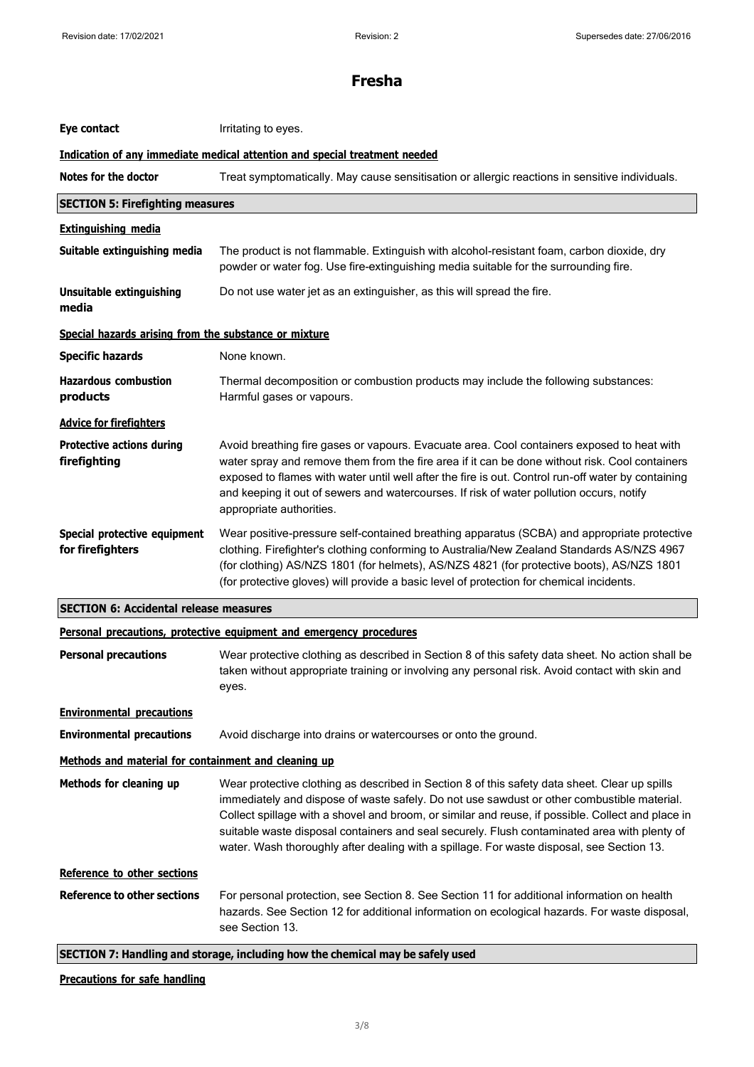| Eye contact                                           | Irritating to eyes.                                                                                                                                                                                                                                                                                                                                                                                                                                                                           |
|-------------------------------------------------------|-----------------------------------------------------------------------------------------------------------------------------------------------------------------------------------------------------------------------------------------------------------------------------------------------------------------------------------------------------------------------------------------------------------------------------------------------------------------------------------------------|
|                                                       | Indication of any immediate medical attention and special treatment needed                                                                                                                                                                                                                                                                                                                                                                                                                    |
| Notes for the doctor                                  | Treat symptomatically. May cause sensitisation or allergic reactions in sensitive individuals.                                                                                                                                                                                                                                                                                                                                                                                                |
| <b>SECTION 5: Firefighting measures</b>               |                                                                                                                                                                                                                                                                                                                                                                                                                                                                                               |
| <b>Extinguishing media</b>                            |                                                                                                                                                                                                                                                                                                                                                                                                                                                                                               |
| Suitable extinguishing media                          | The product is not flammable. Extinguish with alcohol-resistant foam, carbon dioxide, dry<br>powder or water fog. Use fire-extinguishing media suitable for the surrounding fire.                                                                                                                                                                                                                                                                                                             |
| <b>Unsuitable extinguishing</b><br>media              | Do not use water jet as an extinguisher, as this will spread the fire.                                                                                                                                                                                                                                                                                                                                                                                                                        |
| Special hazards arising from the substance or mixture |                                                                                                                                                                                                                                                                                                                                                                                                                                                                                               |
| <b>Specific hazards</b>                               | None known.                                                                                                                                                                                                                                                                                                                                                                                                                                                                                   |
| <b>Hazardous combustion</b><br>products               | Thermal decomposition or combustion products may include the following substances:<br>Harmful gases or vapours.                                                                                                                                                                                                                                                                                                                                                                               |
| <b>Advice for firefighters</b>                        |                                                                                                                                                                                                                                                                                                                                                                                                                                                                                               |
| <b>Protective actions during</b><br>firefighting      | Avoid breathing fire gases or vapours. Evacuate area. Cool containers exposed to heat with<br>water spray and remove them from the fire area if it can be done without risk. Cool containers<br>exposed to flames with water until well after the fire is out. Control run-off water by containing<br>and keeping it out of sewers and watercourses. If risk of water pollution occurs, notify<br>appropriate authorities.                                                                    |
| Special protective equipment<br>for firefighters      | Wear positive-pressure self-contained breathing apparatus (SCBA) and appropriate protective<br>clothing. Firefighter's clothing conforming to Australia/New Zealand Standards AS/NZS 4967<br>(for clothing) AS/NZS 1801 (for helmets), AS/NZS 4821 (for protective boots), AS/NZS 1801<br>(for protective gloves) will provide a basic level of protection for chemical incidents.                                                                                                            |
| <b>SECTION 6: Accidental release measures</b>         |                                                                                                                                                                                                                                                                                                                                                                                                                                                                                               |
|                                                       | Personal precautions, protective equipment and emergency procedures                                                                                                                                                                                                                                                                                                                                                                                                                           |
| <b>Personal precautions</b>                           | Wear protective clothing as described in Section 8 of this safety data sheet. No action shall be<br>taken without appropriate training or involving any personal risk. Avoid contact with skin and<br>eyes.                                                                                                                                                                                                                                                                                   |
| <b>Environmental precautions</b>                      |                                                                                                                                                                                                                                                                                                                                                                                                                                                                                               |
| <b>Environmental precautions</b>                      | Avoid discharge into drains or watercourses or onto the ground.                                                                                                                                                                                                                                                                                                                                                                                                                               |
| Methods and material for containment and cleaning up  |                                                                                                                                                                                                                                                                                                                                                                                                                                                                                               |
| Methods for cleaning up                               | Wear protective clothing as described in Section 8 of this safety data sheet. Clear up spills<br>immediately and dispose of waste safely. Do not use sawdust or other combustible material.<br>Collect spillage with a shovel and broom, or similar and reuse, if possible. Collect and place in<br>suitable waste disposal containers and seal securely. Flush contaminated area with plenty of<br>water. Wash thoroughly after dealing with a spillage. For waste disposal, see Section 13. |
| Reference to other sections                           |                                                                                                                                                                                                                                                                                                                                                                                                                                                                                               |
| <b>Reference to other sections</b>                    | For personal protection, see Section 8. See Section 11 for additional information on health<br>hazards. See Section 12 for additional information on ecological hazards. For waste disposal,<br>see Section 13.                                                                                                                                                                                                                                                                               |
|                                                       | SECTION 7: Handling and storage, including how the chemical may be safely used                                                                                                                                                                                                                                                                                                                                                                                                                |

### **Precautions for safe handling**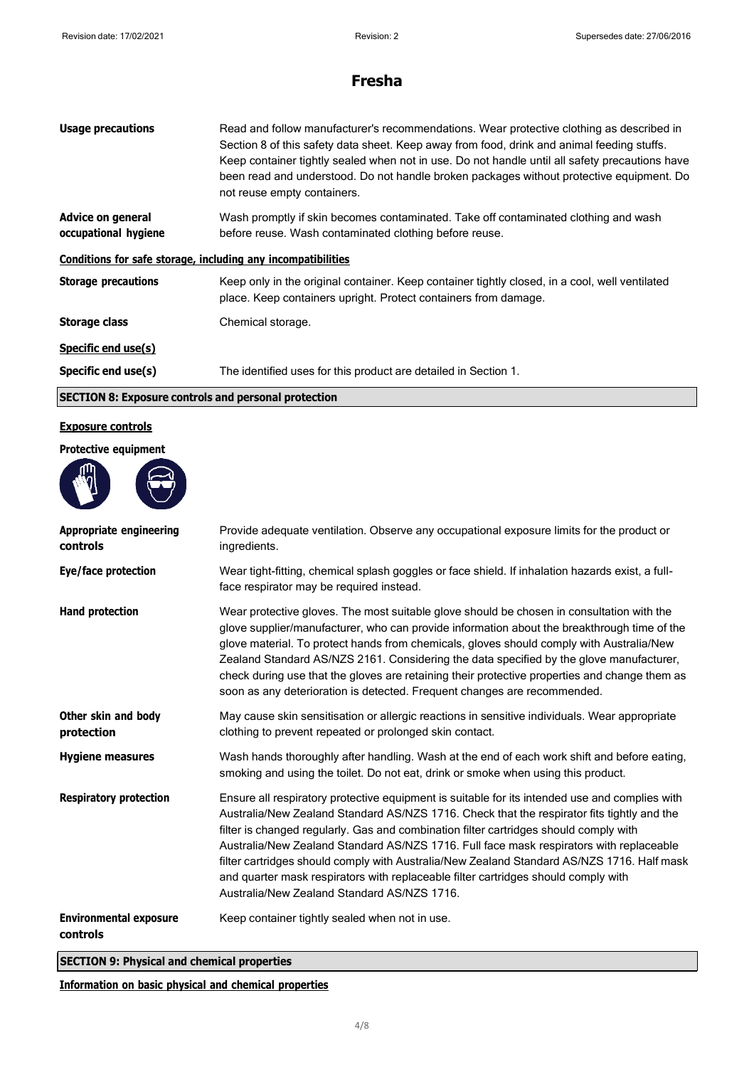| <b>Usage precautions</b>                                     | Read and follow manufacturer's recommendations. Wear protective clothing as described in<br>Section 8 of this safety data sheet. Keep away from food, drink and animal feeding stuffs.<br>Keep container tightly sealed when not in use. Do not handle until all safety precautions have<br>been read and understood. Do not handle broken packages without protective equipment. Do<br>not reuse empty containers. |  |
|--------------------------------------------------------------|---------------------------------------------------------------------------------------------------------------------------------------------------------------------------------------------------------------------------------------------------------------------------------------------------------------------------------------------------------------------------------------------------------------------|--|
| <b>Advice on general</b><br>occupational hygiene             | Wash promptly if skin becomes contaminated. Take off contaminated clothing and wash<br>before reuse. Wash contaminated clothing before reuse.                                                                                                                                                                                                                                                                       |  |
| Conditions for safe storage, including any incompatibilities |                                                                                                                                                                                                                                                                                                                                                                                                                     |  |
| <b>Storage precautions</b>                                   | Keep only in the original container. Keep container tightly closed, in a cool, well ventilated<br>place. Keep containers upright. Protect containers from damage.                                                                                                                                                                                                                                                   |  |
| <b>Storage class</b>                                         | Chemical storage.                                                                                                                                                                                                                                                                                                                                                                                                   |  |
| Specific end use(s)                                          |                                                                                                                                                                                                                                                                                                                                                                                                                     |  |
| Specific end use(s)                                          | The identified uses for this product are detailed in Section 1.                                                                                                                                                                                                                                                                                                                                                     |  |
| <b>SECTION 8: Exposure controls and personal protection</b>  |                                                                                                                                                                                                                                                                                                                                                                                                                     |  |

#### **Exposure controls**

**Protective equipment**



| <b>Appropriate engineering</b><br>controls | Provide adequate ventilation. Observe any occupational exposure limits for the product or<br>ingredients.                                                                                                                                                                                                                                                                                                                                                                                                                                                                                                           |
|--------------------------------------------|---------------------------------------------------------------------------------------------------------------------------------------------------------------------------------------------------------------------------------------------------------------------------------------------------------------------------------------------------------------------------------------------------------------------------------------------------------------------------------------------------------------------------------------------------------------------------------------------------------------------|
| Eye/face protection                        | Wear tight-fitting, chemical splash goggles or face shield. If inhalation hazards exist, a full-<br>face respirator may be required instead.                                                                                                                                                                                                                                                                                                                                                                                                                                                                        |
| <b>Hand protection</b>                     | Wear protective gloves. The most suitable glove should be chosen in consultation with the<br>glove supplier/manufacturer, who can provide information about the breakthrough time of the<br>glove material. To protect hands from chemicals, gloves should comply with Australia/New<br>Zealand Standard AS/NZS 2161. Considering the data specified by the glove manufacturer,<br>check during use that the gloves are retaining their protective properties and change them as<br>soon as any deterioration is detected. Frequent changes are recommended.                                                        |
| Other skin and body<br>protection          | May cause skin sensitisation or allergic reactions in sensitive individuals. Wear appropriate<br>clothing to prevent repeated or prolonged skin contact.                                                                                                                                                                                                                                                                                                                                                                                                                                                            |
| <b>Hygiene measures</b>                    | Wash hands thoroughly after handling. Wash at the end of each work shift and before eating,<br>smoking and using the toilet. Do not eat, drink or smoke when using this product.                                                                                                                                                                                                                                                                                                                                                                                                                                    |
| <b>Respiratory protection</b>              | Ensure all respiratory protective equipment is suitable for its intended use and complies with<br>Australia/New Zealand Standard AS/NZS 1716. Check that the respirator fits tightly and the<br>filter is changed regularly. Gas and combination filter cartridges should comply with<br>Australia/New Zealand Standard AS/NZS 1716. Full face mask respirators with replaceable<br>filter cartridges should comply with Australia/New Zealand Standard AS/NZS 1716. Half mask<br>and quarter mask respirators with replaceable filter cartridges should comply with<br>Australia/New Zealand Standard AS/NZS 1716. |
| <b>Environmental exposure</b><br>controls  | Keep container tightly sealed when not in use.                                                                                                                                                                                                                                                                                                                                                                                                                                                                                                                                                                      |

**SECTION 9: Physical and chemical properties**

**Information on basic physical and chemical properties**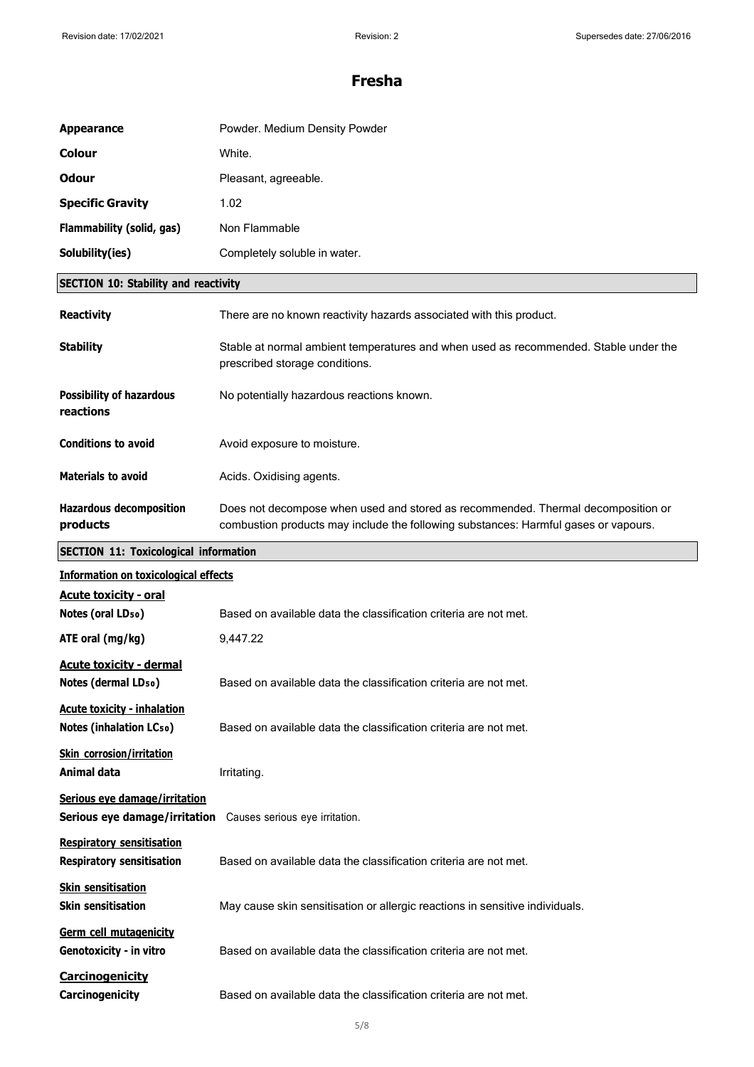| <b>Appearance</b>                                                    | Powder. Medium Density Powder                                                                                                                                           |
|----------------------------------------------------------------------|-------------------------------------------------------------------------------------------------------------------------------------------------------------------------|
| <b>Colour</b>                                                        | White.                                                                                                                                                                  |
| <b>Odour</b>                                                         | Pleasant, agreeable.                                                                                                                                                    |
| <b>Specific Gravity</b>                                              | 1.02                                                                                                                                                                    |
| Flammability (solid, gas)                                            | Non Flammable                                                                                                                                                           |
| Solubility(ies)                                                      | Completely soluble in water.                                                                                                                                            |
| <b>SECTION 10: Stability and reactivity</b>                          |                                                                                                                                                                         |
| <b>Reactivity</b>                                                    | There are no known reactivity hazards associated with this product.                                                                                                     |
| <b>Stability</b>                                                     | Stable at normal ambient temperatures and when used as recommended. Stable under the<br>prescribed storage conditions.                                                  |
| <b>Possibility of hazardous</b><br>reactions                         | No potentially hazardous reactions known.                                                                                                                               |
| <b>Conditions to avoid</b>                                           | Avoid exposure to moisture.                                                                                                                                             |
| <b>Materials to avoid</b>                                            | Acids. Oxidising agents.                                                                                                                                                |
| <b>Hazardous decomposition</b><br>products                           | Does not decompose when used and stored as recommended. Thermal decomposition or<br>combustion products may include the following substances: Harmful gases or vapours. |
| <b>SECTION 11: Toxicological information</b>                         |                                                                                                                                                                         |
| <b>Information on toxicological effects</b>                          |                                                                                                                                                                         |
| <b>Acute toxicity - oral</b><br>Notes (oral LD <sub>50</sub> )       | Based on available data the classification criteria are not met.                                                                                                        |
| ATE oral (mg/kg)                                                     | 9,447.22                                                                                                                                                                |
| <b>Acute toxicity - dermal</b><br>Notes (dermal LD <sub>50</sub> )   | Based on available data the classification criteria are not met.                                                                                                        |
| <b>Acute toxicity - inhalation</b><br><b>Notes (inhalation LCso)</b> | Based on available data the classification criteria are not met.                                                                                                        |
| <b>Skin corrosion/irritation</b><br><b>Animal data</b>               | Irritating.                                                                                                                                                             |
| Serious eye damage/irritation<br>Serious eye damage/irritation       | Causes serious eye irritation.                                                                                                                                          |

| <b>Respiratory sensitisation</b> |                                                                              |
|----------------------------------|------------------------------------------------------------------------------|
| <b>Respiratory sensitisation</b> | Based on available data the classification criteria are not met.             |
| <b>Skin sensitisation</b>        |                                                                              |
| <b>Skin sensitisation</b>        | May cause skin sensitisation or allergic reactions in sensitive individuals. |
| Germ cell mutagenicity           |                                                                              |
| Genotoxicity - in vitro          | Based on available data the classification criteria are not met.             |
| <b>Carcinogenicity</b>           |                                                                              |
| Carcinogenicity                  | Based on available data the classification criteria are not met.             |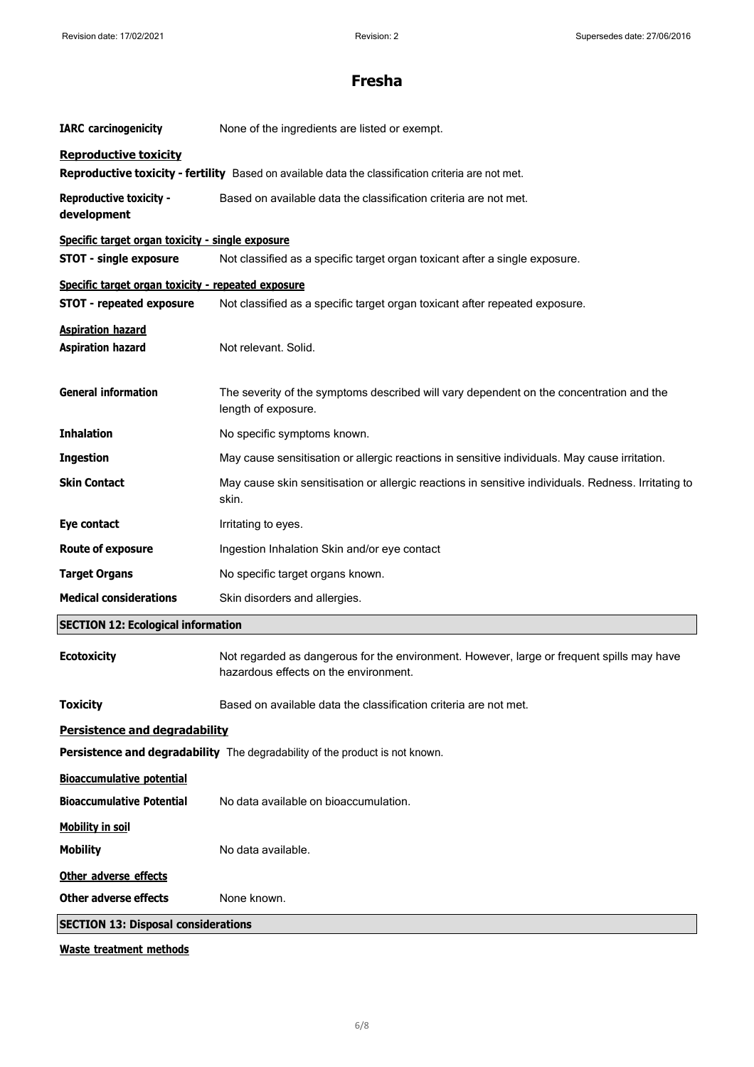| <b>IARC</b> carcinogenicity                          | None of the ingredients are listed or exempt.                                                                                      |  |
|------------------------------------------------------|------------------------------------------------------------------------------------------------------------------------------------|--|
| <b>Reproductive toxicity</b>                         | Reproductive toxicity - fertility Based on available data the classification criteria are not met.                                 |  |
| <b>Reproductive toxicity -</b><br>development        | Based on available data the classification criteria are not met.                                                                   |  |
| Specific target organ toxicity - single exposure     |                                                                                                                                    |  |
| <b>STOT - single exposure</b>                        | Not classified as a specific target organ toxicant after a single exposure.                                                        |  |
| Specific target organ toxicity - repeated exposure   |                                                                                                                                    |  |
| <b>STOT - repeated exposure</b>                      | Not classified as a specific target organ toxicant after repeated exposure.                                                        |  |
| <b>Aspiration hazard</b><br><b>Aspiration hazard</b> | Not relevant. Solid.                                                                                                               |  |
| <b>General information</b>                           | The severity of the symptoms described will vary dependent on the concentration and the<br>length of exposure.                     |  |
| <b>Inhalation</b>                                    | No specific symptoms known.                                                                                                        |  |
| <b>Ingestion</b>                                     | May cause sensitisation or allergic reactions in sensitive individuals. May cause irritation.                                      |  |
| <b>Skin Contact</b>                                  | May cause skin sensitisation or allergic reactions in sensitive individuals. Redness. Irritating to<br>skin.                       |  |
| Eye contact                                          | Irritating to eyes.                                                                                                                |  |
| <b>Route of exposure</b>                             | Ingestion Inhalation Skin and/or eye contact                                                                                       |  |
| <b>Target Organs</b>                                 | No specific target organs known.                                                                                                   |  |
| <b>Medical considerations</b>                        | Skin disorders and allergies.                                                                                                      |  |
| <b>SECTION 12: Ecological information</b>            |                                                                                                                                    |  |
| <b>Ecotoxicity</b>                                   | Not regarded as dangerous for the environment. However, large or frequent spills may have<br>hazardous effects on the environment. |  |
| <b>Toxicity</b>                                      | Based on available data the classification criteria are not met.                                                                   |  |
| <b>Persistence and degradability</b>                 |                                                                                                                                    |  |
|                                                      | Persistence and degradability The degradability of the product is not known.                                                       |  |
| <b>Bioaccumulative potential</b>                     |                                                                                                                                    |  |
| <b>Bioaccumulative Potential</b>                     | No data available on bioaccumulation.                                                                                              |  |
| <b>Mobility in soil</b>                              |                                                                                                                                    |  |
| <b>Mobility</b>                                      | No data available.                                                                                                                 |  |
| Other adverse effects                                |                                                                                                                                    |  |
| <b>Other adverse effects</b>                         | None known.                                                                                                                        |  |
| <b>SECTION 13: Disposal considerations</b>           |                                                                                                                                    |  |
|                                                      |                                                                                                                                    |  |

**Waste treatment methods**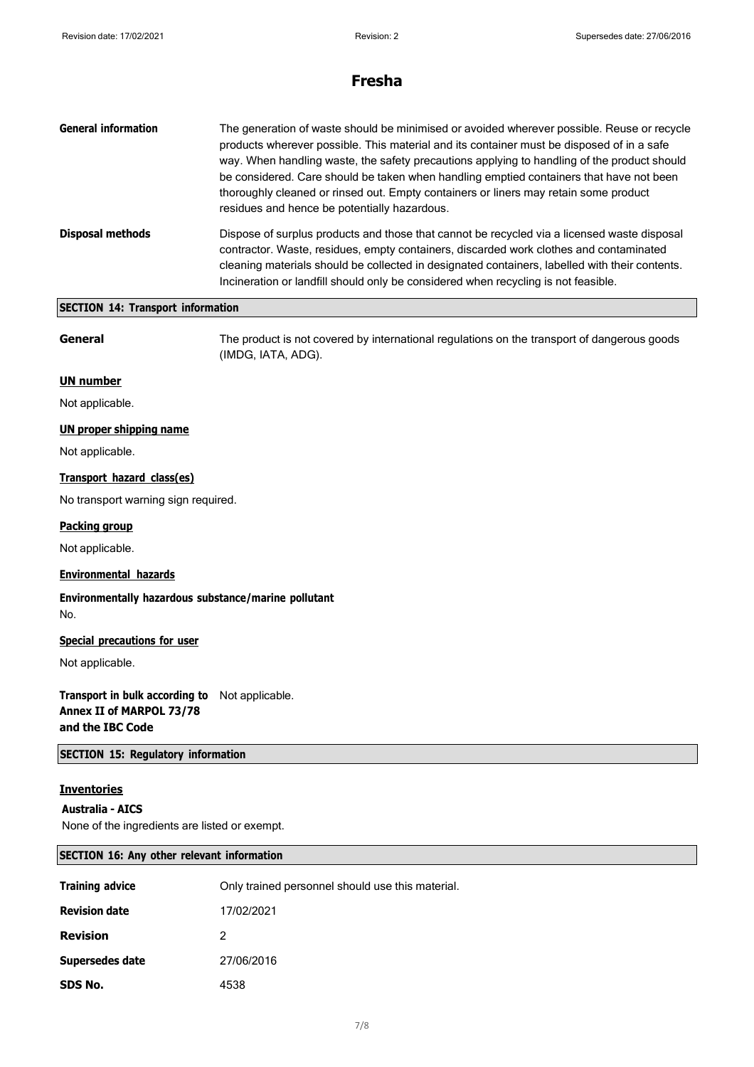| <b>General information</b> | The generation of waste should be minimised or avoided wherever possible. Reuse or recycle<br>products wherever possible. This material and its container must be disposed of in a safe<br>way. When handling waste, the safety precautions applying to handling of the product should<br>be considered. Care should be taken when handling emptied containers that have not been<br>thoroughly cleaned or rinsed out. Empty containers or liners may retain some product<br>residues and hence be potentially hazardous. |
|----------------------------|---------------------------------------------------------------------------------------------------------------------------------------------------------------------------------------------------------------------------------------------------------------------------------------------------------------------------------------------------------------------------------------------------------------------------------------------------------------------------------------------------------------------------|
| <b>Disposal methods</b>    | Dispose of surplus products and those that cannot be recycled via a licensed waste disposal<br>contractor. Waste, residues, empty containers, discarded work clothes and contaminated<br>cleaning materials should be collected in designated containers, labelled with their contents.<br>Incineration or landfill should only be considered when recycling is not feasible.                                                                                                                                             |

### **SECTION 14: Transport information**

**General** The product is not covered by international regulations on the transport of dangerous goods (IMDG, IATA, ADG).

#### **UN number**

Not applicable.

#### **UN proper shipping name**

Not applicable.

### **Transport hazard class(es)**

No transport warning sign required.

#### **Packing group**

Not applicable.

### **Environmental hazards**

**Environmentally hazardous substance/marine pollutant** No.

#### **Special precautions for user**

Not applicable.

**Transport in bulk according to** Not applicable. **Annex II of MARPOL 73/78 and the IBC Code**

#### **SECTION 15: Regulatory information**

#### **Inventories**

**Australia - AICS**

None of the ingredients are listed or exempt.

#### **SECTION 16: Any other relevant information**

| <b>Training advice</b> | Only trained personnel should use this material. |
|------------------------|--------------------------------------------------|
| <b>Revision date</b>   | 17/02/2021                                       |
| <b>Revision</b>        | 2                                                |
| Supersedes date        | 27/06/2016                                       |
| SDS No.                | 4538                                             |